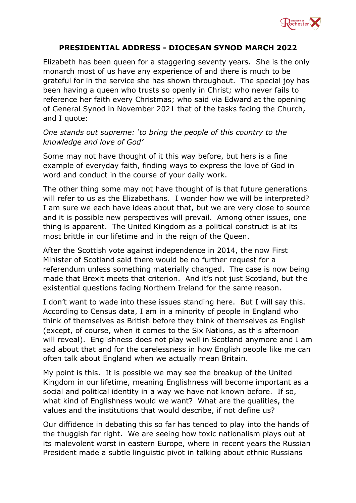

## **PRESIDENTIAL ADDRESS - DIOCESAN SYNOD MARCH 2022**

Elizabeth has been queen for a staggering seventy years. She is the only monarch most of us have any experience of and there is much to be grateful for in the service she has shown throughout. The special joy has been having a queen who trusts so openly in Christ; who never fails to reference her faith every Christmas; who said via Edward at the opening of General Synod in November 2021 that of the tasks facing the Church, and I quote:

## *One stands out supreme: 'to bring the people of this country to the knowledge and love of God'*

Some may not have thought of it this way before, but hers is a fine example of everyday faith, finding ways to express the love of God in word and conduct in the course of your daily work.

The other thing some may not have thought of is that future generations will refer to us as the Elizabethans. I wonder how we will be interpreted? I am sure we each have ideas about that, but we are very close to source and it is possible new perspectives will prevail. Among other issues, one thing is apparent. The United Kingdom as a political construct is at its most brittle in our lifetime and in the reign of the Queen.

After the Scottish vote against independence in 2014, the now First Minister of Scotland said there would be no further request for a referendum unless something materially changed. The case is now being made that Brexit meets that criterion. And it's not just Scotland, but the existential questions facing Northern Ireland for the same reason.

I don't want to wade into these issues standing here. But I will say this. According to Census data, I am in a minority of people in England who think of themselves as British before they think of themselves as English (except, of course, when it comes to the Six Nations, as this afternoon will reveal). Englishness does not play well in Scotland anymore and I am sad about that and for the carelessness in how English people like me can often talk about England when we actually mean Britain.

My point is this. It is possible we may see the breakup of the United Kingdom in our lifetime, meaning Englishness will become important as a social and political identity in a way we have not known before. If so, what kind of Englishness would we want? What are the qualities, the values and the institutions that would describe, if not define us?

Our diffidence in debating this so far has tended to play into the hands of the thuggish far right. We are seeing how toxic nationalism plays out at its malevolent worst in eastern Europe, where in recent years the Russian President made a subtle linguistic pivot in talking about ethnic Russians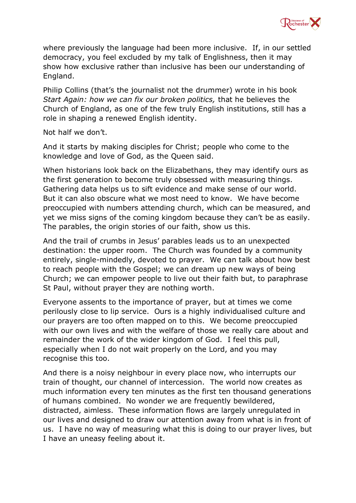

where previously the language had been more inclusive. If, in our settled democracy, you feel excluded by my talk of Englishness, then it may show how exclusive rather than inclusive has been our understanding of England.

Philip Collins (that's the journalist not the drummer) wrote in his book *Start Again: how we can fix our broken politics,* that he believes the Church of England, as one of the few truly English institutions, still has a role in shaping a renewed English identity.

Not half we don't.

And it starts by making disciples for Christ; people who come to the knowledge and love of God, as the Queen said.

When historians look back on the Elizabethans, they may identify ours as the first generation to become truly obsessed with measuring things. Gathering data helps us to sift evidence and make sense of our world. But it can also obscure what we most need to know. We have become preoccupied with numbers attending church, which can be measured, and yet we miss signs of the coming kingdom because they can't be as easily. The parables, the origin stories of our faith, show us this.

And the trail of crumbs in Jesus' parables leads us to an unexpected destination: the upper room. The Church was founded by a community entirely, single-mindedly, devoted to prayer. We can talk about how best to reach people with the Gospel; we can dream up new ways of being Church; we can empower people to live out their faith but, to paraphrase St Paul, without prayer they are nothing worth.

Everyone assents to the importance of prayer, but at times we come perilously close to lip service. Ours is a highly individualised culture and our prayers are too often mapped on to this. We become preoccupied with our own lives and with the welfare of those we really care about and remainder the work of the wider kingdom of God. I feel this pull, especially when I do not wait properly on the Lord, and you may recognise this too.

And there is a noisy neighbour in every place now, who interrupts our train of thought, our channel of intercession. The world now creates as much information every ten minutes as the first ten thousand generations of humans combined. No wonder we are frequently bewildered, distracted, aimless. These information flows are largely unregulated in our lives and designed to draw our attention away from what is in front of us. I have no way of measuring what this is doing to our prayer lives, but I have an uneasy feeling about it.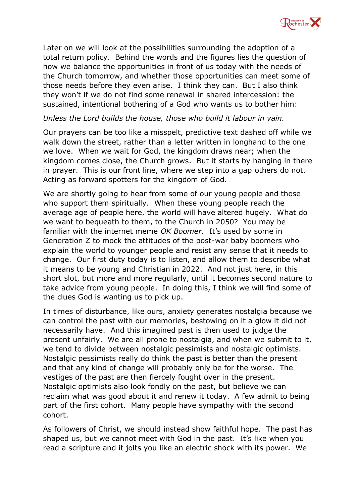

Later on we will look at the possibilities surrounding the adoption of a total return policy. Behind the words and the figures lies the question of how we balance the opportunities in front of us today with the needs of the Church tomorrow, and whether those opportunities can meet some of those needs before they even arise. I think they can. But I also think they won't if we do not find some renewal in shared intercession: the sustained, intentional bothering of a God who wants us to bother him:

## *Unless the Lord builds the house, those who build it labour in vain.*

Our prayers can be too like a misspelt, predictive text dashed off while we walk down the street, rather than a letter written in longhand to the one we love. When we wait for God, the kingdom draws near; when the kingdom comes close, the Church grows. But it starts by hanging in there in prayer. This is our front line, where we step into a gap others do not. Acting as forward spotters for the kingdom of God.

We are shortly going to hear from some of our young people and those who support them spiritually. When these young people reach the average age of people here, the world will have altered hugely. What do we want to bequeath to them, to the Church in 2050? You may be familiar with the internet meme *OK Boomer.* It's used by some in Generation Z to mock the attitudes of the post-war baby boomers who explain the world to younger people and resist any sense that it needs to change. Our first duty today is to listen, and allow them to describe what it means to be young and Christian in 2022. And not just here, in this short slot, but more and more regularly, until it becomes second nature to take advice from young people. In doing this, I think we will find some of the clues God is wanting us to pick up.

In times of disturbance, like ours, anxiety generates nostalgia because we can control the past with our memories, bestowing on it a glow it did not necessarily have. And this imagined past is then used to judge the present unfairly. We are all prone to nostalgia, and when we submit to it, we tend to divide between nostalgic pessimists and nostalgic optimists. Nostalgic pessimists really do think the past is better than the present and that any kind of change will probably only be for the worse. The vestiges of the past are then fiercely fought over in the present. Nostalgic optimists also look fondly on the past, but believe we can reclaim what was good about it and renew it today. A few admit to being part of the first cohort. Many people have sympathy with the second cohort.

As followers of Christ, we should instead show faithful hope. The past has shaped us, but we cannot meet with God in the past. It's like when you read a scripture and it jolts you like an electric shock with its power. We